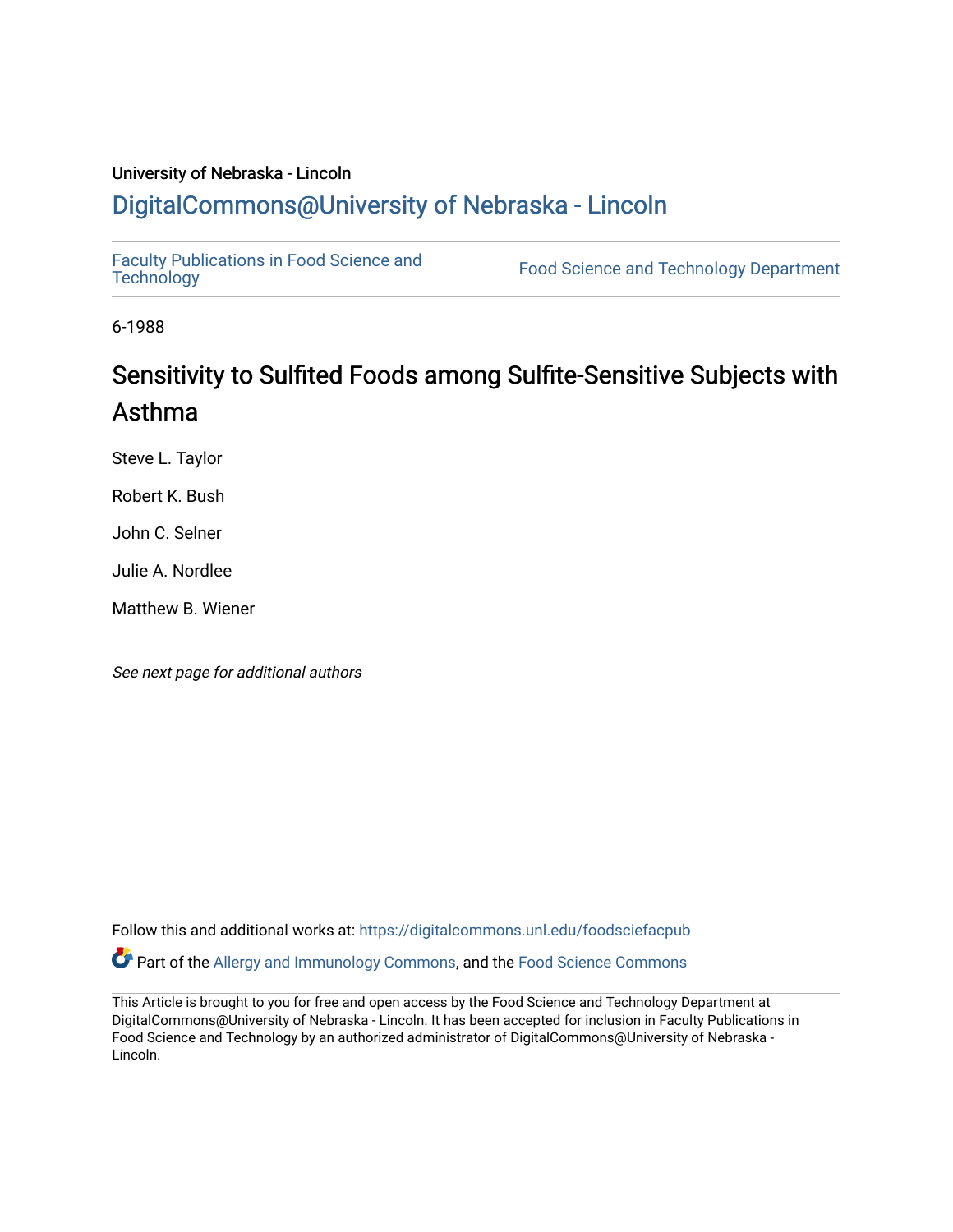### University of Nebraska - Lincoln [DigitalCommons@University of Nebraska - Lincoln](https://digitalcommons.unl.edu/)

[Faculty Publications in Food Science and](https://digitalcommons.unl.edu/foodsciefacpub)

Food Science and [Technology](https://digitalcommons.unl.edu/foodsciefacpub) Department

6-1988

# Sensitivity to Sulfited Foods among Sulfite-Sensitive Subjects with Asthma

Steve L. Taylor

Robert K. Bush

John C. Selner

Julie A. Nordlee

Matthew B. Wiener

See next page for additional authors

Follow this and additional works at: [https://digitalcommons.unl.edu/foodsciefacpub](https://digitalcommons.unl.edu/foodsciefacpub?utm_source=digitalcommons.unl.edu%2Ffoodsciefacpub%2F475&utm_medium=PDF&utm_campaign=PDFCoverPages)  Part of the [Allergy and Immunology Commons](http://network.bepress.com/hgg/discipline/681?utm_source=digitalcommons.unl.edu%2Ffoodsciefacpub%2F475&utm_medium=PDF&utm_campaign=PDFCoverPages), and the [Food Science Commons](http://network.bepress.com/hgg/discipline/84?utm_source=digitalcommons.unl.edu%2Ffoodsciefacpub%2F475&utm_medium=PDF&utm_campaign=PDFCoverPages) 

This Article is brought to you for free and open access by the Food Science and Technology Department at DigitalCommons@University of Nebraska - Lincoln. It has been accepted for inclusion in Faculty Publications in Food Science and Technology by an authorized administrator of DigitalCommons@University of Nebraska -Lincoln.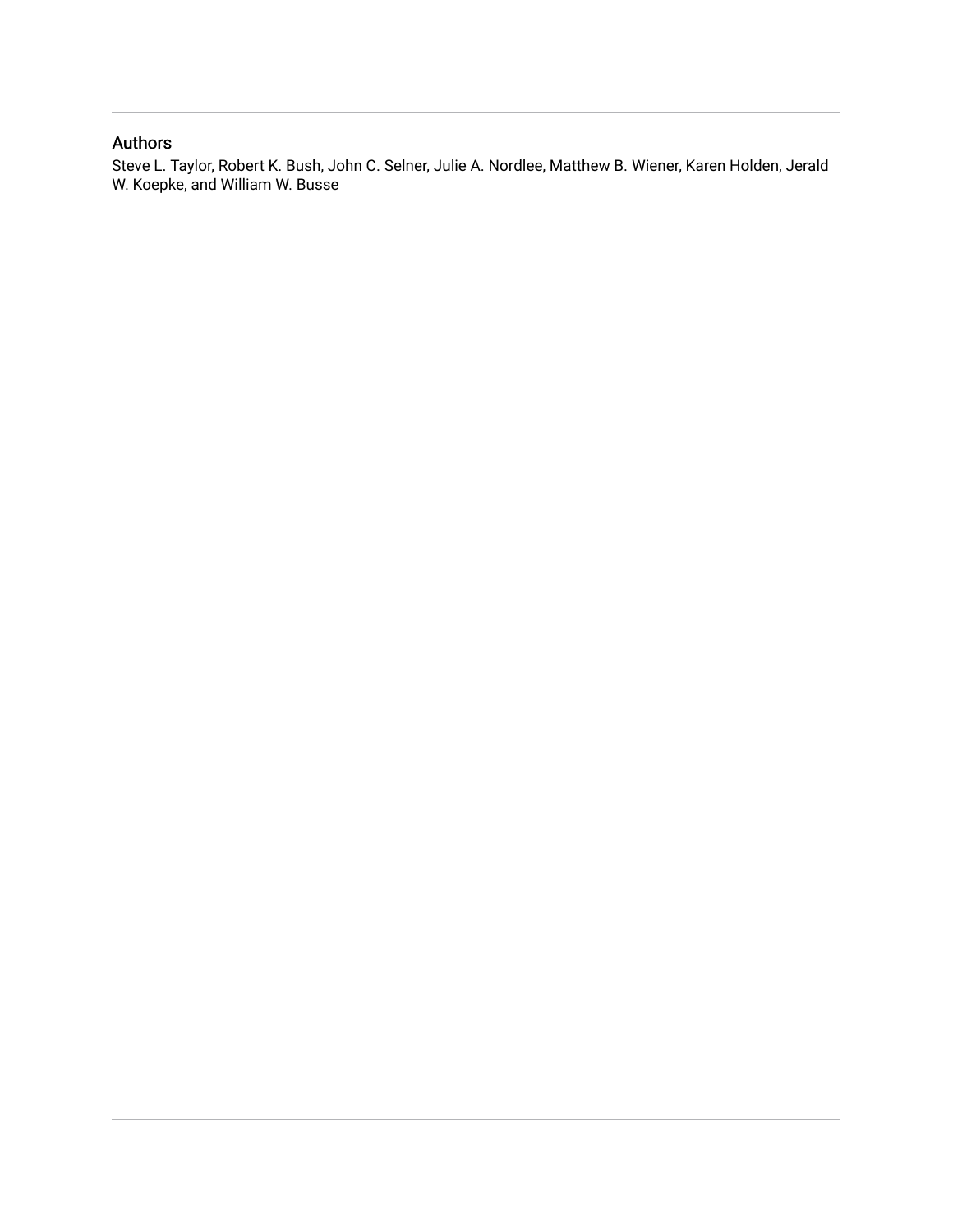### Authors

Steve L. Taylor, Robert K. Bush, John C. Selner, Julie A. Nordlee, Matthew B. Wiener, Karen Holden, Jerald W. Koepke, and William W. Busse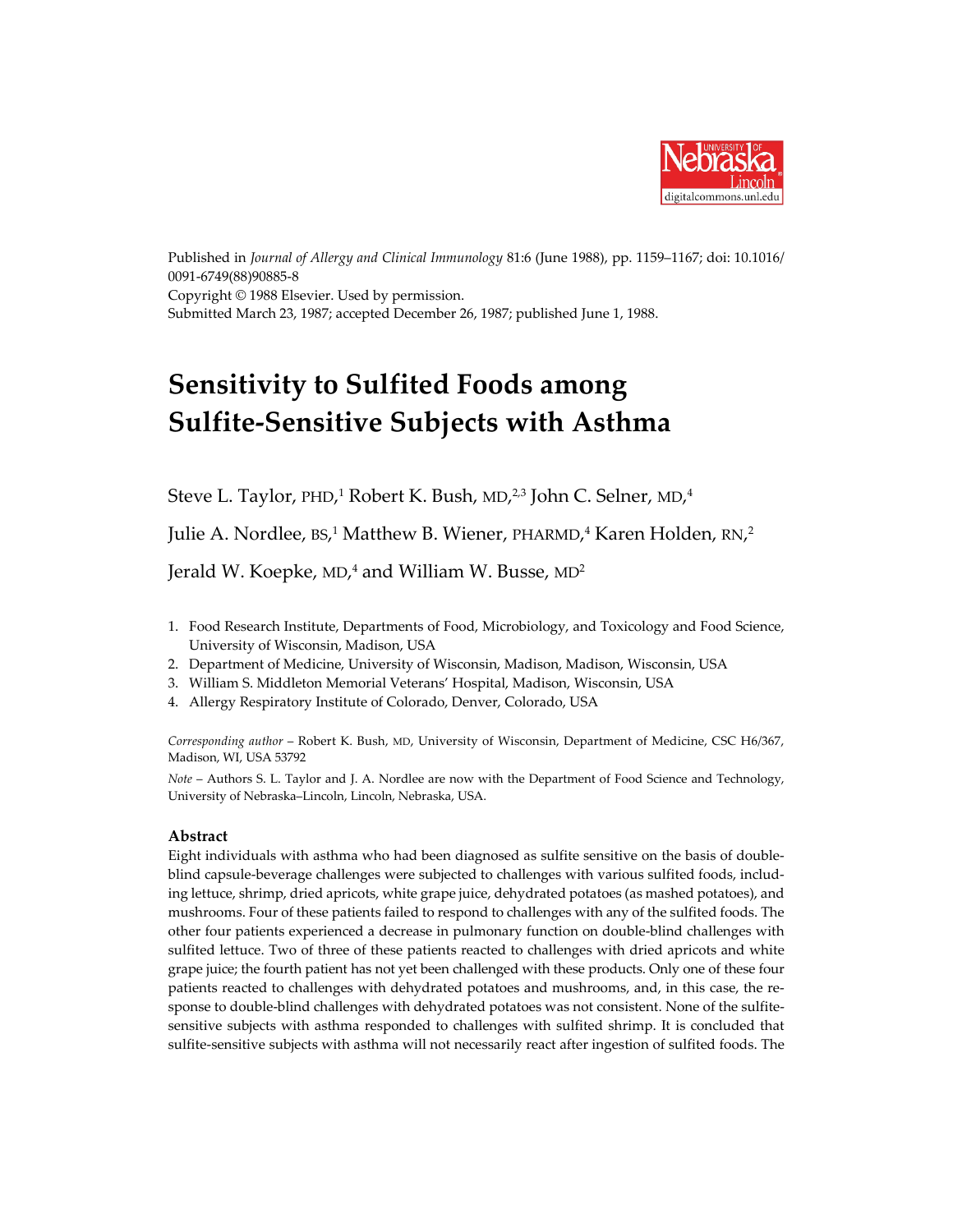

Published in *Journal of Allergy and Clinical Immunology* 81:6 (June 1988), pp. 1159–1167; doi: 10.1016/ 0091-6749(88)90885-8 Copyright © 1988 Elsevier. Used by permission. Submitted March 23, 1987; accepted December 26, 1987; published June 1, 1988.

# **Sensitivity to Sulfited Foods among Sulfite-Sensitive Subjects with Asthma**

Steve L. Taylor, PHD,<sup>1</sup> Robert K. Bush, MD,<sup>2,3</sup> John C. Selner, MD,<sup>4</sup>

Julie A. Nordlee, BS, <sup>1</sup> Matthew B. Wiener, PHARMD, <sup>4</sup> Karen Holden, RN, 2

Jerald W. Koepke, MD, <sup>4</sup> and William W. Busse, MD2

- 1. Food Research Institute, Departments of Food, Microbiology, and Toxicology and Food Science, University of Wisconsin, Madison, USA
- 2. Department of Medicine, University of Wisconsin, Madison, Madison, Wisconsin, USA
- 3. William S. Middleton Memorial Veterans' Hospital, Madison, Wisconsin, USA
- 4. Allergy Respiratory Institute of Colorado, Denver, Colorado, USA

*Corresponding author* – Robert K. Bush, MD, University of Wisconsin, Department of Medicine, CSC H6/367, Madison, WI, USA 53792

*Note* – Authors S. L. Taylor and J. A. Nordlee are now with the Department of Food Science and Technology, University of Nebraska–Lincoln, Lincoln, Nebraska, USA.

#### **Abstract**

Eight individuals with asthma who had been diagnosed as sulfite sensitive on the basis of doubleblind capsule-beverage challenges were subjected to challenges with various sulfited foods, including lettuce, shrimp, dried apricots, white grape juice, dehydrated potatoes (as mashed potatoes), and mushrooms. Four of these patients failed to respond to challenges with any of the sulfited foods. The other four patients experienced a decrease in pulmonary function on double-blind challenges with sulfited lettuce. Two of three of these patients reacted to challenges with dried apricots and white grape juice; the fourth patient has not yet been challenged with these products. Only one of these four patients reacted to challenges with dehydrated potatoes and mushrooms, and, in this case, the response to double-blind challenges with dehydrated potatoes was not consistent. None of the sulfitesensitive subjects with asthma responded to challenges with sulfited shrimp. It is concluded that sulfite-sensitive subjects with asthma will not necessarily react after ingestion of sulfited foods. The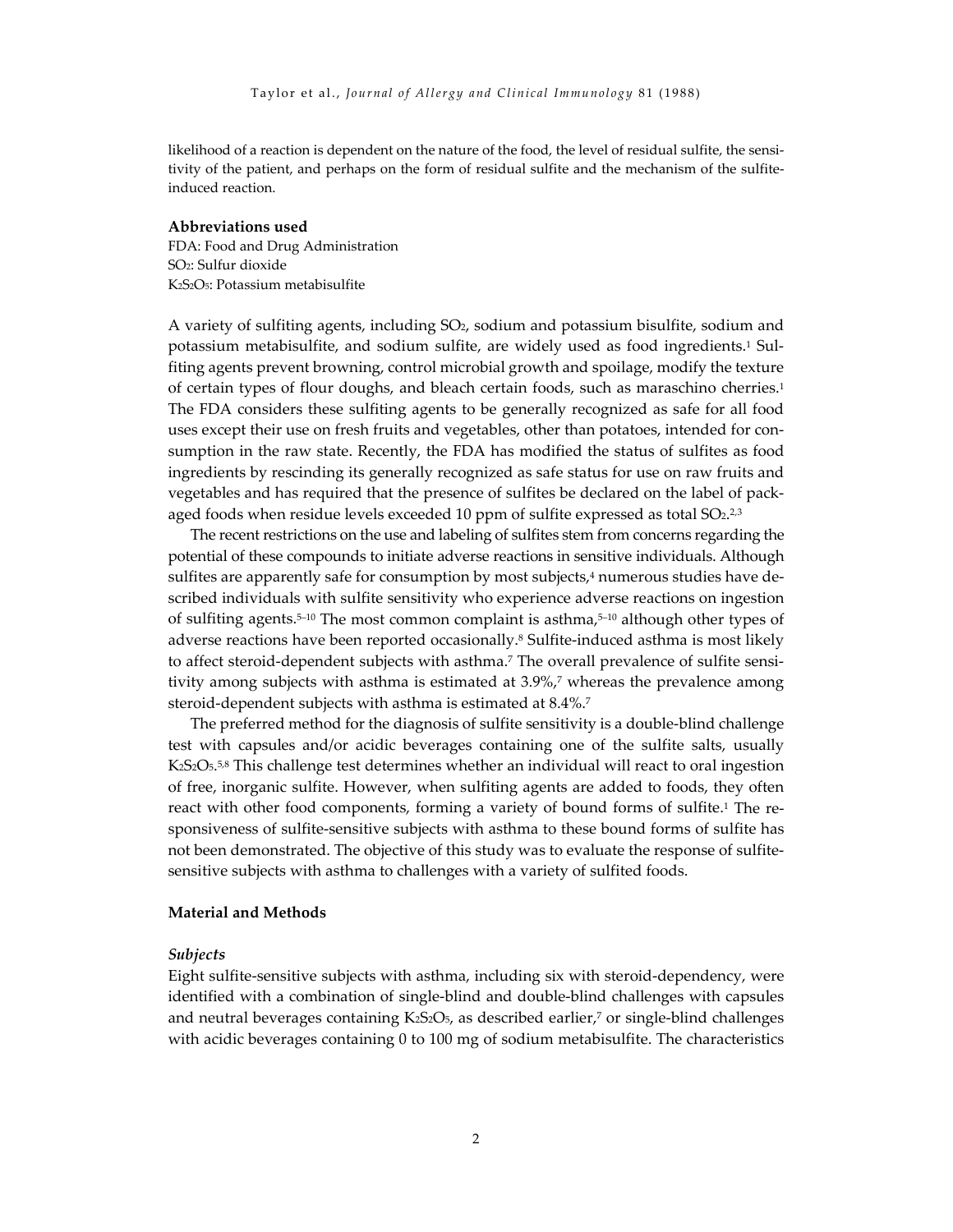likelihood of a reaction is dependent on the nature of the food, the level of residual sulfite, the sensitivity of the patient, and perhaps on the form of residual sulfite and the mechanism of the sulfiteinduced reaction.

#### **Abbreviations used**

FDA: Food and Drug Administration SO2: Sulfur dioxide K2S2O5: Potassium metabisulfite

A variety of sulfiting agents, including SO2, sodium and potassium bisulfite, sodium and potassium metabisulfite, and sodium sulfite, are widely used as food ingredients.1 Sulfiting agents prevent browning, control microbial growth and spoilage, modify the texture of certain types of flour doughs, and bleach certain foods, such as maraschino cherries.1 The FDA considers these sulfiting agents to be generally recognized as safe for all food uses except their use on fresh fruits and vegetables, other than potatoes, intended for consumption in the raw state. Recently, the FDA has modified the status of sulfites as food ingredients by rescinding its generally recognized as safe status for use on raw fruits and vegetables and has required that the presence of sulfites be declared on the label of packaged foods when residue levels exceeded 10 ppm of sulfite expressed as total  $SO<sub>2</sub>,<sup>2,3</sup>$ 

The recent restrictions on the use and labeling of sulfites stem from concerns regarding the potential of these compounds to initiate adverse reactions in sensitive individuals. Although sulfites are apparently safe for consumption by most subjects,<sup>4</sup> numerous studies have described individuals with sulfite sensitivity who experience adverse reactions on ingestion of sulfiting agents.<sup>5–10</sup> The most common complaint is asthma,<sup>5–10</sup> although other types of adverse reactions have been reported occasionally.8 Sulfite-induced asthma is most likely to affect steroid-dependent subjects with asthma.7 The overall prevalence of sulfite sensitivity among subjects with asthma is estimated at 3.9%,7 whereas the prevalence among steroid-dependent subjects with asthma is estimated at 8.4%.7

The preferred method for the diagnosis of sulfite sensitivity is a double-blind challenge test with capsules and/or acidic beverages containing one of the sulfite salts, usually  $K_2S_2O_5$ <sup>5,8</sup> This challenge test determines whether an individual will react to oral ingestion of free, inorganic sulfite. However, when sulfiting agents are added to foods, they often react with other food components, forming a variety of bound forms of sulfite.<sup>1</sup> The responsiveness of sulfite-sensitive subjects with asthma to these bound forms of sulfite has not been demonstrated. The objective of this study was to evaluate the response of sulfitesensitive subjects with asthma to challenges with a variety of sulfited foods.

#### **Material and Methods**

#### *Subjects*

Eight sulfite-sensitive subjects with asthma, including six with steroid-dependency, were identified with a combination of single-blind and double-blind challenges with capsules and neutral beverages containing K<sub>2</sub>S<sub>2</sub>O<sub>5</sub>, as described earlier,<sup>7</sup> or single-blind challenges with acidic beverages containing 0 to 100 mg of sodium metabisulfite. The characteristics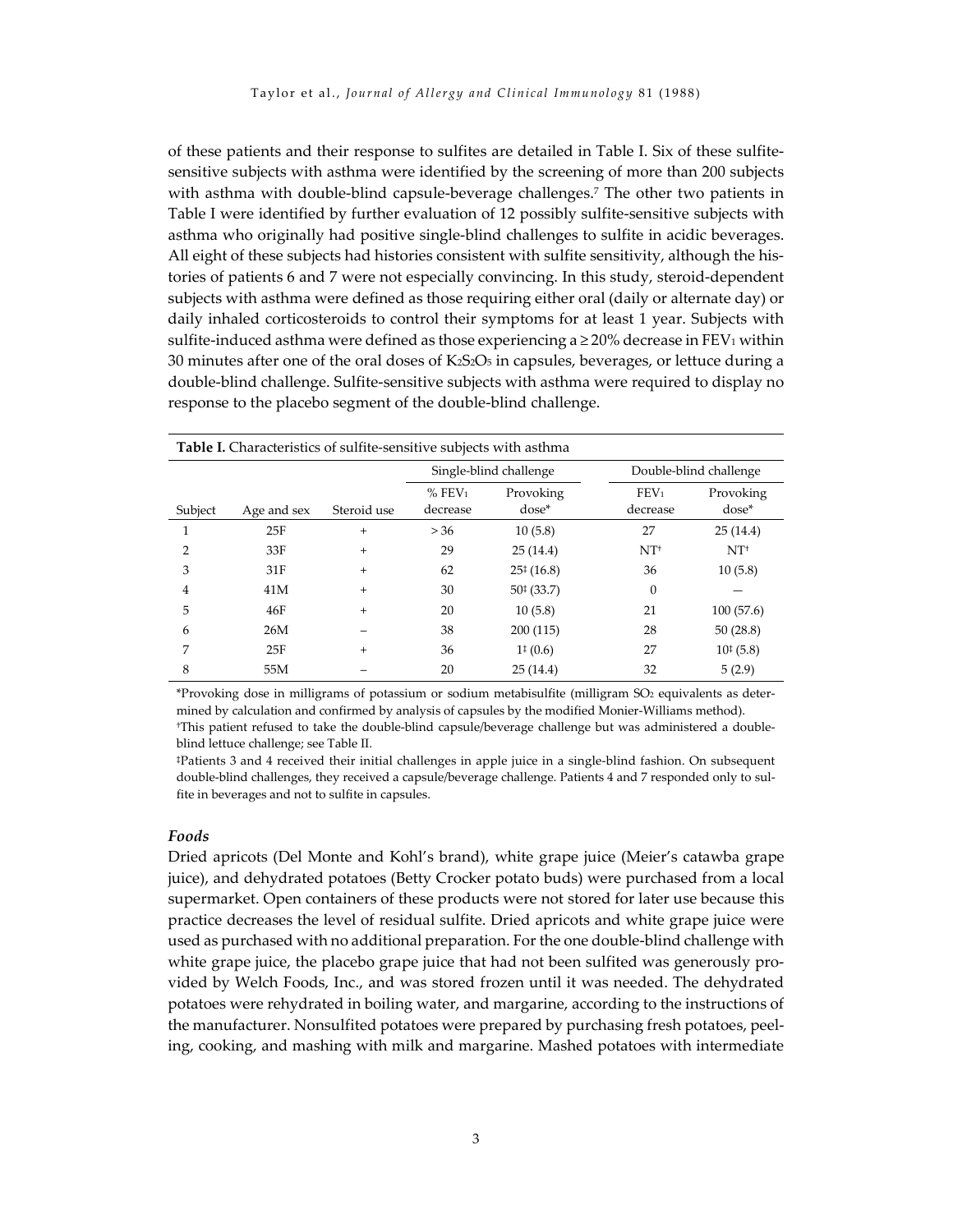of these patients and their response to sulfites are detailed in Table I. Six of these sulfitesensitive subjects with asthma were identified by the screening of more than 200 subjects with asthma with double-blind capsule-beverage challenges.<sup>7</sup> The other two patients in Table I were identified by further evaluation of 12 possibly sulfite-sensitive subjects with asthma who originally had positive single-blind challenges to sulfite in acidic beverages. All eight of these subjects had histories consistent with sulfite sensitivity, although the histories of patients 6 and 7 were not especially convincing. In this study, steroid-dependent subjects with asthma were defined as those requiring either oral (daily or alternate day) or daily inhaled corticosteroids to control their symptoms for at least 1 year. Subjects with sulfite-induced asthma were defined as those experiencing a  $\geq$  20% decrease in FEV<sub>1</sub> within 30 minutes after one of the oral doses of  $K<sub>2</sub>52O<sub>5</sub>$  in capsules, beverages, or lettuce during a double-blind challenge. Sulfite-sensitive subjects with asthma were required to display no response to the placebo segment of the double-blind challenge.

| <b>Table I.</b> Characteristics of sulfite-sensitive subjects with asthma |             |             |                                  |                      |                              |                        |  |
|---------------------------------------------------------------------------|-------------|-------------|----------------------------------|----------------------|------------------------------|------------------------|--|
|                                                                           |             |             | Single-blind challenge           |                      |                              | Double-blind challenge |  |
| Subject                                                                   | Age and sex | Steroid use | $%$ FEV <sub>1</sub><br>decrease | Provoking<br>$dose*$ | FEV <sub>1</sub><br>decrease | Provoking<br>$dose*$   |  |
|                                                                           | 25F         | $\ddot{}$   | > 36                             | 10(5.8)              | 27                           | 25(14.4)               |  |
| 2                                                                         | 33F         | $+$         | 29                               | 25(14.4)             | $NT+$                        | $NT+$                  |  |
| 3                                                                         | 31F         | $+$         | 62                               | $25 \div (16.8)$     | 36                           | 10(5.8)                |  |
| 4                                                                         | 41M         | $+$         | 30                               | $50*(33.7)$          | $\mathbf{0}$                 |                        |  |
| 5                                                                         | 46F         | $\ddot{}$   | 20                               | 10(5.8)              | 21                           | 100(57.6)              |  |
| 6                                                                         | 26M         |             | 38                               | 200 (115)            | 28                           | 50(28.8)               |  |
| 7                                                                         | 25F         | $+$         | 36                               | $1^{\ddagger}$ (0.6) | 27                           | $10^{1}(5.8)$          |  |
| 8                                                                         | 55M         |             | 20                               | 25(14.4)             | 32                           | 5(2.9)                 |  |

\*Provoking dose in milligrams of potassium or sodium metabisulfite (milligram SO2 equivalents as determined by calculation and confirmed by analysis of capsules by the modified Monier-Williams method). †This patient refused to take the double-blind capsule/beverage challenge but was administered a doubleblind lettuce challenge; see Table II.

‡Patients 3 and 4 received their initial challenges in apple juice in a single-blind fashion. On subsequent double-blind challenges, they received a capsule/beverage challenge. Patients 4 and 7 responded only to sulfite in beverages and not to sulfite in capsules.

#### *Foods*

Dried apricots (Del Monte and Kohl's brand), white grape juice (Meier's catawba grape juice), and dehydrated potatoes (Betty Crocker potato buds) were purchased from a local supermarket. Open containers of these products were not stored for later use because this practice decreases the level of residual sulfite. Dried apricots and white grape juice were used as purchased with no additional preparation. For the one double-blind challenge with white grape juice, the placebo grape juice that had not been sulfited was generously provided by Welch Foods, Inc., and was stored frozen until it was needed. The dehydrated potatoes were rehydrated in boiling water, and margarine, according to the instructions of the manufacturer. Nonsulfited potatoes were prepared by purchasing fresh potatoes, peeling, cooking, and mashing with milk and margarine. Mashed potatoes with intermediate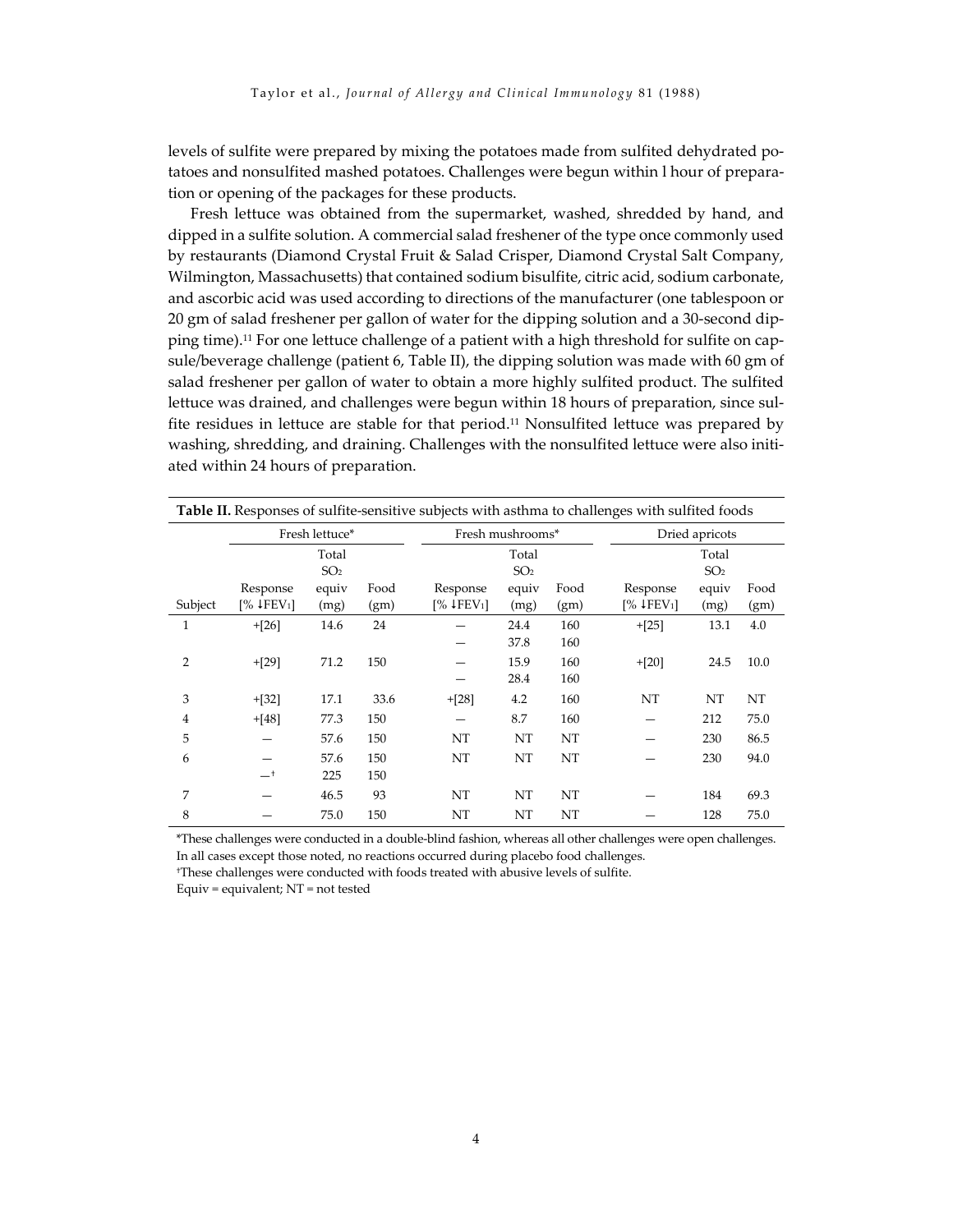levels of sulfite were prepared by mixing the potatoes made from sulfited dehydrated potatoes and nonsulfited mashed potatoes. Challenges were begun within l hour of preparation or opening of the packages for these products.

Fresh lettuce was obtained from the supermarket, washed, shredded by hand, and dipped in a sulfite solution. A commercial salad freshener of the type once commonly used by restaurants (Diamond Crystal Fruit & Salad Crisper, Diamond Crystal Salt Company, Wilmington, Massachusetts) that contained sodium bisulfite, citric acid, sodium carbonate, and ascorbic acid was used according to directions of the manufacturer (one tablespoon or 20 gm of salad freshener per gallon of water for the dipping solution and a 30-second dipping time).11 For one lettuce challenge of a patient with a high threshold for sulfite on capsule/beverage challenge (patient 6, Table II), the dipping solution was made with 60 gm of salad freshener per gallon of water to obtain a more highly sulfited product. The sulfited lettuce was drained, and challenges were begun within 18 hours of preparation, since sulfite residues in lettuce are stable for that period.11 Nonsulfited lettuce was prepared by washing, shredding, and draining. Challenges with the nonsulfited lettuce were also initiated within 24 hours of preparation.

| Table II. Responses of sulfite-sensitive subjects with asthma to challenges with sulfited foods |                        |       |      |                   |                  |      |                      |                 |      |  |
|-------------------------------------------------------------------------------------------------|------------------------|-------|------|-------------------|------------------|------|----------------------|-----------------|------|--|
|                                                                                                 | Fresh lettuce*         |       |      |                   | Fresh mushrooms* |      |                      | Dried apricots  |      |  |
|                                                                                                 | Total                  |       |      |                   | Total            |      | Total                |                 |      |  |
|                                                                                                 | SO <sub>2</sub>        |       |      | SO <sub>2</sub>   |                  |      |                      | SO <sub>2</sub> |      |  |
|                                                                                                 | Response               | equiv | Food | Response          | equiv            | Food | Response             | equiv           | Food |  |
| Subject                                                                                         | [% 4FEV <sub>1</sub> ] | (mg)  | (gm) | $\sqrt{2}$ [FEV1] | (mg)             | (gm) | $\frac{1}{6}$ (FEV1) | (mg)            | (gm) |  |
| 1                                                                                               | $+[26]$                | 14.6  | 24   |                   | 24.4             | 160  | $+[25]$              | 13.1            | 4.0  |  |
|                                                                                                 |                        |       |      |                   | 37.8             | 160  |                      |                 |      |  |
| 2                                                                                               | $+[29]$                | 71.2  | 150  |                   | 15.9             | 160  | $+[20]$              | 24.5            | 10.0 |  |
|                                                                                                 |                        |       |      |                   | 28.4             | 160  |                      |                 |      |  |
| 3                                                                                               | $+[32]$                | 17.1  | 33.6 | $+[28]$           | 4.2              | 160  | NT                   | NT              | NT   |  |
| $\overline{4}$                                                                                  | $+[48]$                | 77.3  | 150  |                   | 8.7              | 160  |                      | 212             | 75.0 |  |
| 5                                                                                               |                        | 57.6  | 150  | NT                | NT               | NT   |                      | 230             | 86.5 |  |
| 6                                                                                               |                        | 57.6  | 150  | NT                | NT               | NT   |                      | 230             | 94.0 |  |
|                                                                                                 | $-$ t                  | 225   | 150  |                   |                  |      |                      |                 |      |  |
| 7                                                                                               |                        | 46.5  | 93   | NT                | NT               | NT   |                      | 184             | 69.3 |  |
| 8                                                                                               |                        | 75.0  | 150  | NT                | NT               | NT   |                      | 128             | 75.0 |  |

\*These challenges were conducted in a double-blind fashion, whereas all other challenges were open challenges. In all cases except those noted, no reactions occurred during placebo food challenges.

†These challenges were conducted with foods treated with abusive levels of sulfite.

Equiv = equivalent; NT = not tested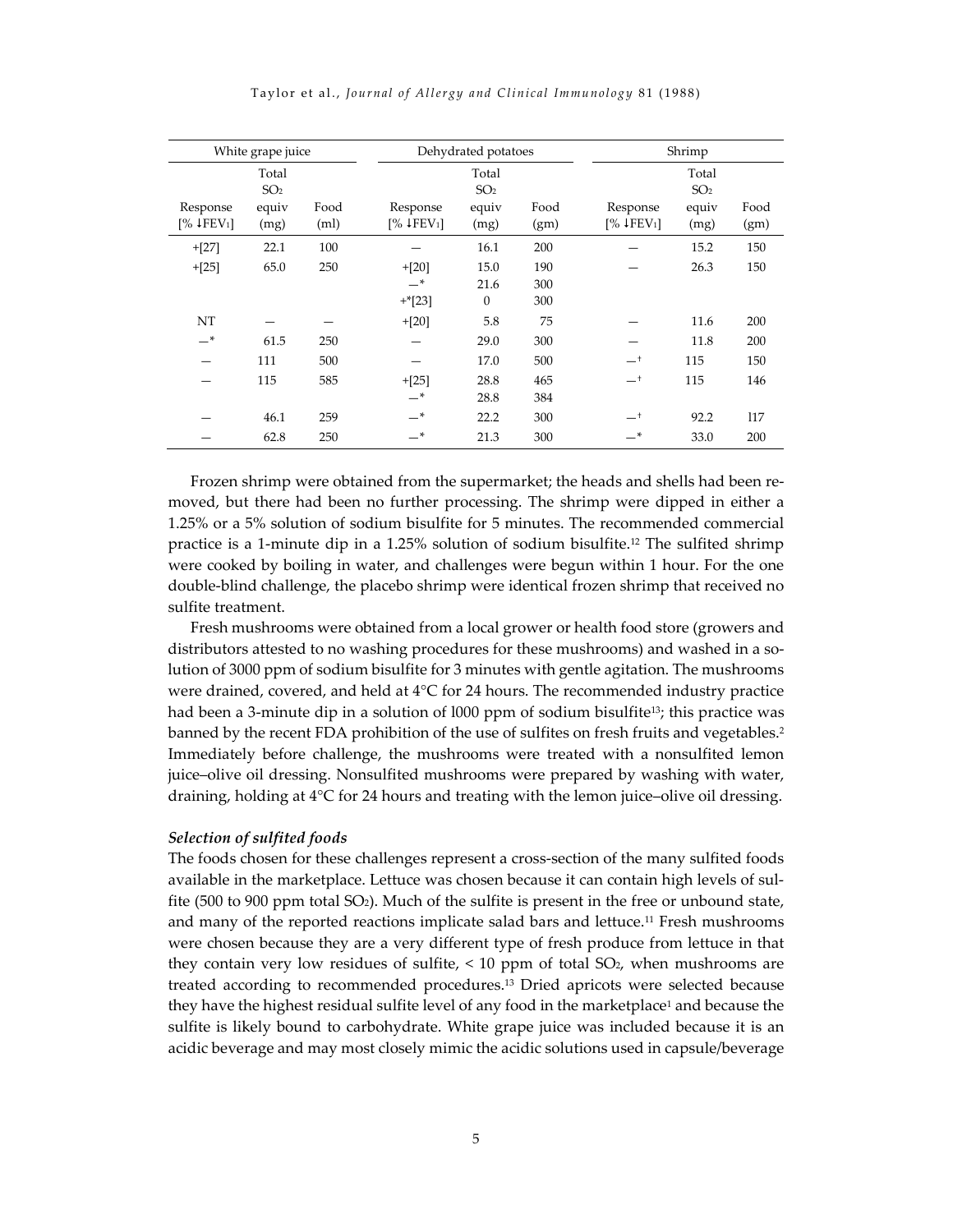| White grape juice              |                 |      |                          | Dehydrated potatoes |      |           | Shrimp          |      |  |
|--------------------------------|-----------------|------|--------------------------|---------------------|------|-----------|-----------------|------|--|
| Total                          |                 |      |                          | Total               |      |           | Total           |      |  |
|                                | SO <sub>2</sub> |      |                          | SO <sub>2</sub>     |      |           | SO <sub>2</sub> |      |  |
| Response                       | equiv           | Food | Response                 | equiv               | Food | Response  | equiv           | Food |  |
| $\sqrt{2}$ [FEV <sub>1</sub> ] | (mg)            | (ml) | $[%$ ↓FEV <sub>1</sub> ] | (mg)                | (gm) | [% 4FEV1] | (mg)            | (gm) |  |
| $+[27]$                        | 22.1            | 100  |                          | 16.1                | 200  |           | 15.2            | 150  |  |
| $+[25]$                        | 65.0            | 250  | $+[20]$                  | 15.0                | 190  |           | 26.3            | 150  |  |
|                                |                 |      | $-$ *                    | 21.6                | 300  |           |                 |      |  |
|                                |                 |      | $+$ <sup>*</sup> [23]    | $\mathbf{0}$        | 300  |           |                 |      |  |
| NT                             |                 |      | $+[20]$                  | 5.8                 | 75   |           | 11.6            | 200  |  |
| _*                             | 61.5            | 250  |                          | 29.0                | 300  |           | 11.8            | 200  |  |
|                                | 111             | 500  |                          | 17.0                | 500  | —†        | 115             | 150  |  |
|                                | 115             | 585  | $+[25]$                  | 28.8                | 465  | $-^+$     | 115             | 146  |  |
|                                |                 |      | $-$ *                    | 28.8                | 384  |           |                 |      |  |
|                                | 46.1            | 259  | $-$ *                    | 22.2                | 300  | —†        | 92.2            | 117  |  |
|                                | 62.8            | 250  | $-$ *                    | 21.3                | 300  | _*        | 33.0            | 200  |  |

Taylor et al., *Journal of Allergy and Clinical Immunology* 81 (1988)

Frozen shrimp were obtained from the supermarket; the heads and shells had been removed, but there had been no further processing. The shrimp were dipped in either a 1.25% or a 5% solution of sodium bisulfite for 5 minutes. The recommended commercial practice is a 1-minute dip in a 1.25% solution of sodium bisulfite.12 The sulfited shrimp were cooked by boiling in water, and challenges were begun within 1 hour. For the one double-blind challenge, the placebo shrimp were identical frozen shrimp that received no sulfite treatment.

Fresh mushrooms were obtained from a local grower or health food store (growers and distributors attested to no washing procedures for these mushrooms) and washed in a solution of 3000 ppm of sodium bisulfite for 3 minutes with gentle agitation. The mushrooms were drained, covered, and held at 4°C for 24 hours. The recommended industry practice had been a 3-minute dip in a solution of 1000 ppm of sodium bisulfite<sup>13</sup>; this practice was banned by the recent FDA prohibition of the use of sulfites on fresh fruits and vegetables.2 Immediately before challenge, the mushrooms were treated with a nonsulfited lemon juice–olive oil dressing. Nonsulfited mushrooms were prepared by washing with water, draining, holding at 4°C for 24 hours and treating with the lemon juice–olive oil dressing.

#### *Selection of sulfited foods*

The foods chosen for these challenges represent a cross-section of the many sulfited foods available in the marketplace. Lettuce was chosen because it can contain high levels of sulfite (500 to 900 ppm total SO2). Much of the sulfite is present in the free or unbound state, and many of the reported reactions implicate salad bars and lettuce.<sup>11</sup> Fresh mushrooms were chosen because they are a very different type of fresh produce from lettuce in that they contain very low residues of sulfite,  $< 10$  ppm of total SO<sub>2</sub>, when mushrooms are treated according to recommended procedures.13 Dried apricots were selected because they have the highest residual sulfite level of any food in the marketplace<sup>1</sup> and because the sulfite is likely bound to carbohydrate. White grape juice was included because it is an acidic beverage and may most closely mimic the acidic solutions used in capsule/beverage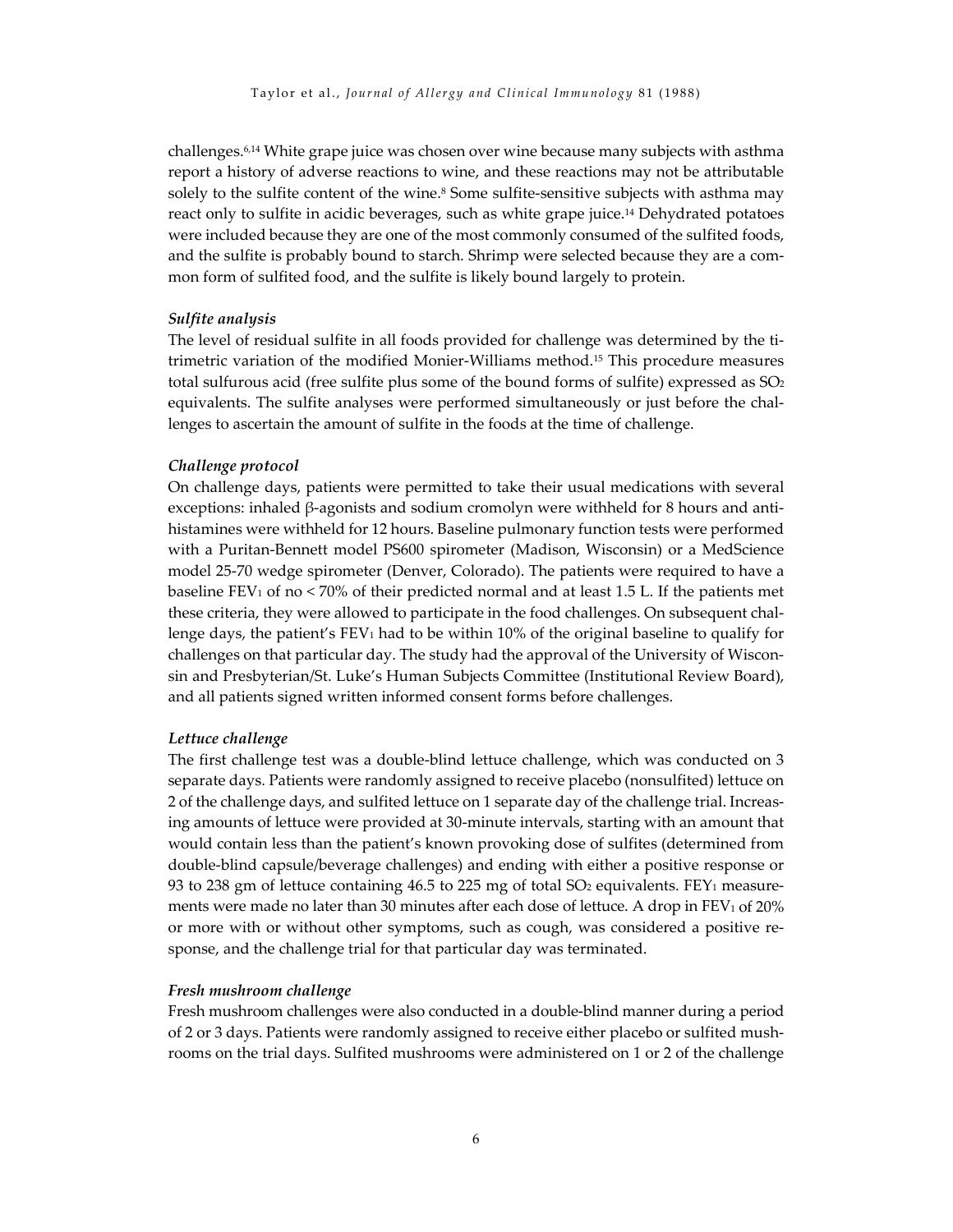challenges.6,14 White grape juice was chosen over wine because many subjects with asthma report a history of adverse reactions to wine, and these reactions may not be attributable solely to the sulfite content of the wine.<sup>8</sup> Some sulfite-sensitive subjects with asthma may react only to sulfite in acidic beverages, such as white grape juice.14 Dehydrated potatoes were included because they are one of the most commonly consumed of the sulfited foods, and the sulfite is probably bound to starch. Shrimp were selected because they are a common form of sulfited food, and the sulfite is likely bound largely to protein.

#### *Sulfite analysis*

The level of residual sulfite in all foods provided for challenge was determined by the titrimetric variation of the modified Monier-Williams method.15 This procedure measures total sulfurous acid (free sulfite plus some of the bound forms of sulfite) expressed as  $SO<sub>2</sub>$ equivalents. The sulfite analyses were performed simultaneously or just before the challenges to ascertain the amount of sulfite in the foods at the time of challenge.

#### *Challenge protocol*

On challenge days, patients were permitted to take their usual medications with several exceptions: inhaled β-agonists and sodium cromolyn were withheld for 8 hours and antihistamines were withheld for 12 hours. Baseline pulmonary function tests were performed with a Puritan-Bennett model PS600 spirometer (Madison, Wisconsin) or a MedScience model 25-70 wedge spirometer (Denver, Colorado). The patients were required to have a baseline  $FEV_1$  of no  $\lt 70\%$  of their predicted normal and at least 1.5 L. If the patients met these criteria, they were allowed to participate in the food challenges. On subsequent challenge days, the patient's  $FEV_1$  had to be within 10% of the original baseline to qualify for challenges on that particular day. The study had the approval of the University of Wisconsin and Presbyterian/St. Luke's Human Subjects Committee (Institutional Review Board), and all patients signed written informed consent forms before challenges.

#### *Lettuce challenge*

The first challenge test was a double-blind lettuce challenge, which was conducted on 3 separate days. Patients were randomly assigned to receive placebo (nonsulfited) lettuce on 2 of the challenge days, and sulfited lettuce on 1 separate day of the challenge trial. Increasing amounts of lettuce were provided at 30-minute intervals, starting with an amount that would contain less than the patient's known provoking dose of sulfites (determined from double-blind capsule/beverage challenges) and ending with either a positive response or 93 to 238 gm of lettuce containing 46.5 to 225 mg of total  $SO<sub>2</sub>$  equivalents. FEY<sub>1</sub> measurements were made no later than 30 minutes after each dose of lettuce. A drop in  $FEV<sub>1</sub>$  of 20% or more with or without other symptoms, such as cough, was considered a positive response, and the challenge trial for that particular day was terminated.

#### *Fresh mushroom challenge*

Fresh mushroom challenges were also conducted in a double-blind manner during a period of 2 or 3 days. Patients were randomly assigned to receive either placebo or sulfited mushrooms on the trial days. Sulfited mushrooms were administered on 1 or 2 of the challenge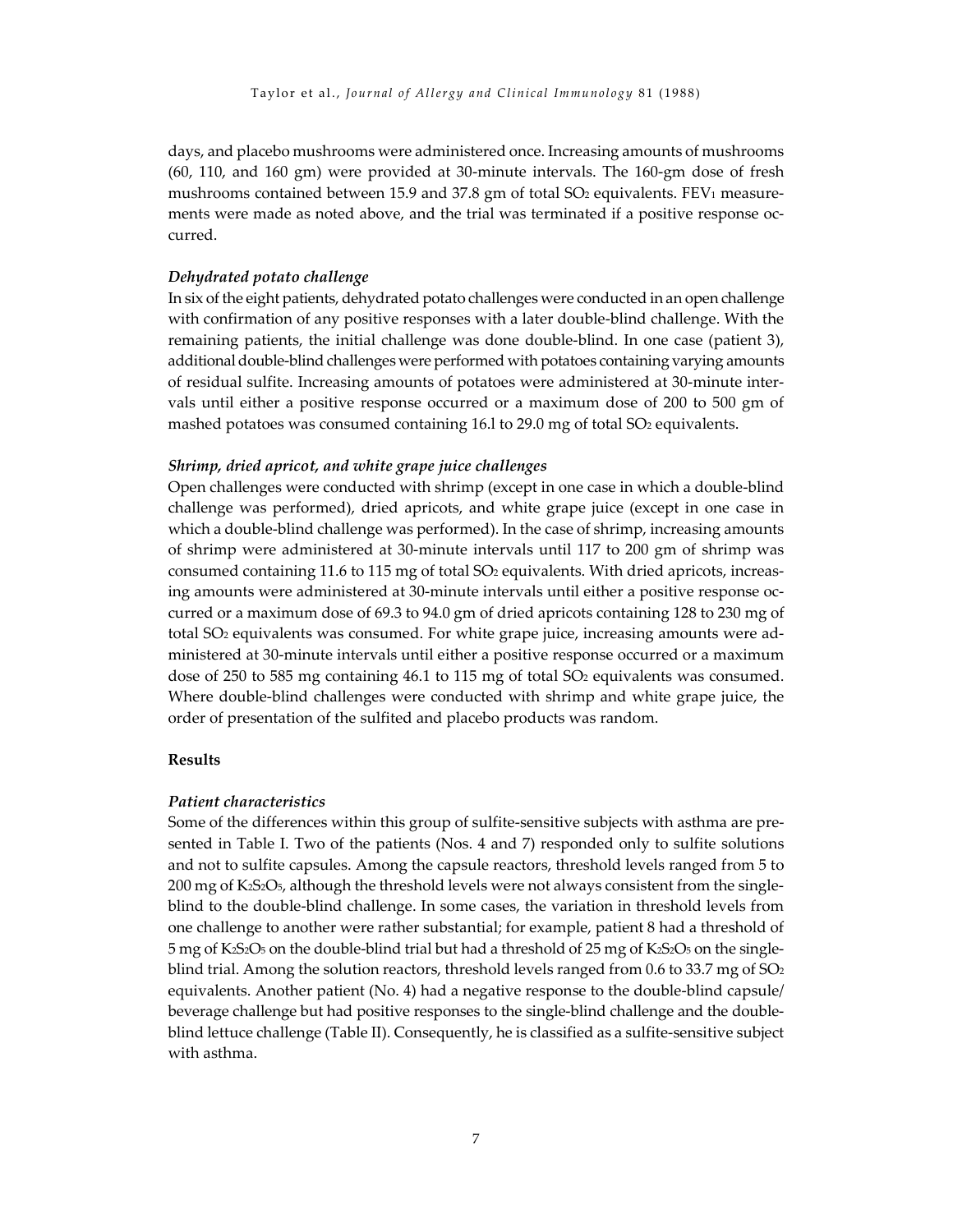days, and placebo mushrooms were administered once. Increasing amounts of mushrooms (60, 110, and 160 gm) were provided at 30-minute intervals. The 160-gm dose of fresh mushrooms contained between 15.9 and 37.8 gm of total  $SO<sub>2</sub>$  equivalents. FEV<sub>1</sub> measurements were made as noted above, and the trial was terminated if a positive response occurred.

#### *Dehydrated potato challenge*

In six of the eight patients, dehydrated potato challenges were conducted in an open challenge with confirmation of any positive responses with a later double-blind challenge. With the remaining patients, the initial challenge was done double-blind. In one case (patient 3), additional double-blind challenges were performed with potatoes containing varying amounts of residual sulfite. Increasing amounts of potatoes were administered at 30-minute intervals until either a positive response occurred or a maximum dose of 200 to 500 gm of mashed potatoes was consumed containing 16.1 to 29.0 mg of total SO<sub>2</sub> equivalents.

#### *Shrimp, dried apricot, and white grape juice challenges*

Open challenges were conducted with shrimp (except in one case in which a double-blind challenge was performed), dried apricots, and white grape juice (except in one case in which a double-blind challenge was performed). In the case of shrimp, increasing amounts of shrimp were administered at 30-minute intervals until 117 to 200 gm of shrimp was consumed containing 11.6 to 115 mg of total SO2 equivalents. With dried apricots, increasing amounts were administered at 30-minute intervals until either a positive response occurred or a maximum dose of 69.3 to 94.0 gm of dried apricots containing 128 to 230 mg of total SO2 equivalents was consumed. For white grape juice, increasing amounts were administered at 30-minute intervals until either a positive response occurred or a maximum dose of 250 to 585 mg containing 46.1 to 115 mg of total SO<sub>2</sub> equivalents was consumed. Where double-blind challenges were conducted with shrimp and white grape juice, the order of presentation of the sulfited and placebo products was random.

#### **Results**

#### *Patient characteristics*

Some of the differences within this group of sulfite-sensitive subjects with asthma are presented in Table I. Two of the patients (Nos. 4 and 7) responded only to sulfite solutions and not to sulfite capsules. Among the capsule reactors, threshold levels ranged from 5 to 200 mg of K2S2O5, although the threshold levels were not always consistent from the singleblind to the double-blind challenge. In some cases, the variation in threshold levels from one challenge to another were rather substantial; for example, patient 8 had a threshold of 5 mg of K2S2O5 on the double-blind trial but had a threshold of 25 mg of K2S2O5 on the singleblind trial. Among the solution reactors, threshold levels ranged from 0.6 to 33.7 mg of  $SO<sub>2</sub>$ equivalents. Another patient (No. 4) had a negative response to the double-blind capsule/ beverage challenge but had positive responses to the single-blind challenge and the doubleblind lettuce challenge (Table II). Consequently, he is classified as a sulfite-sensitive subject with asthma.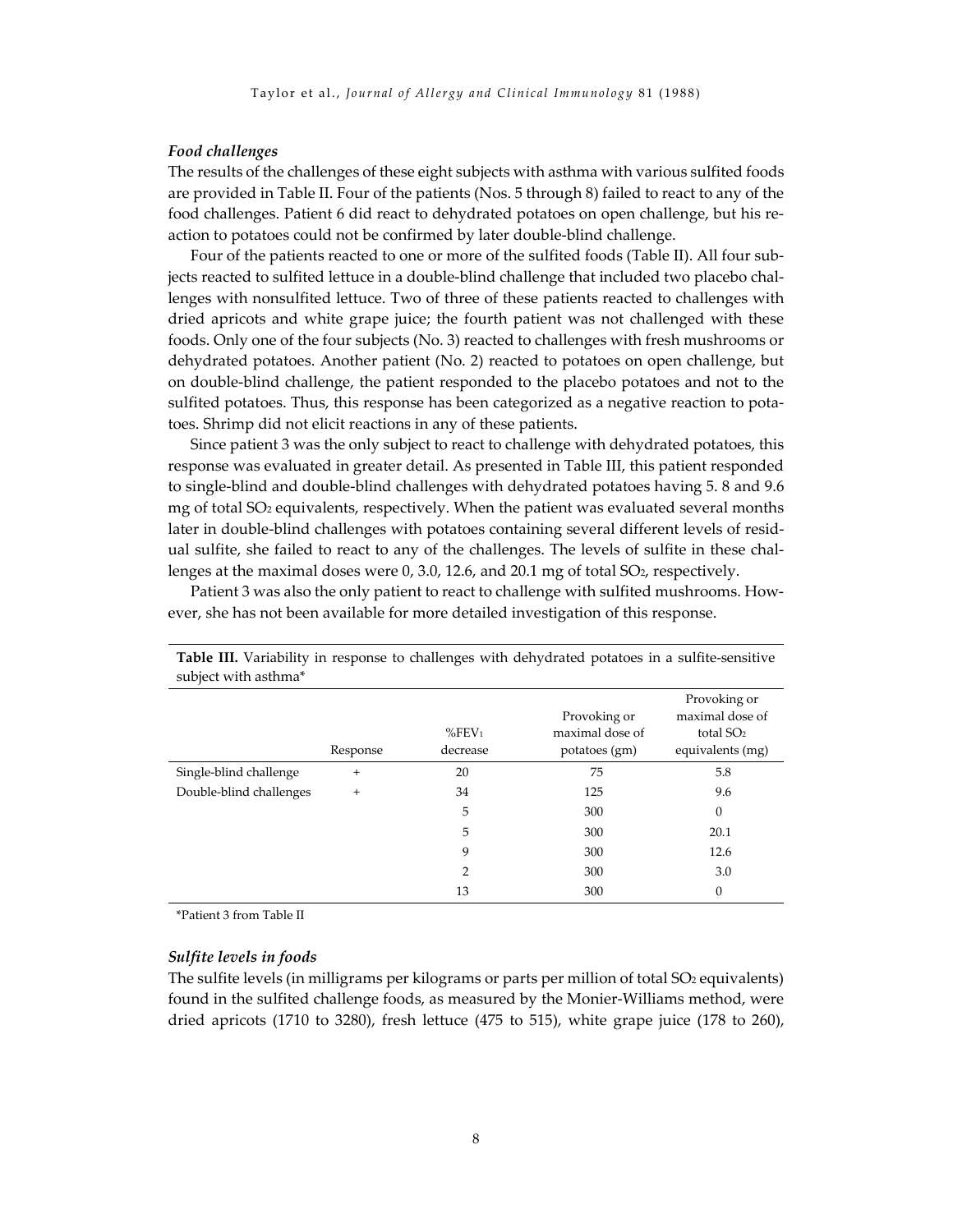#### *Food challenges*

The results of the challenges of these eight subjects with asthma with various sulfited foods are provided in Table II. Four of the patients (Nos. 5 through 8) failed to react to any of the food challenges. Patient 6 did react to dehydrated potatoes on open challenge, but his reaction to potatoes could not be confirmed by later double-blind challenge.

Four of the patients reacted to one or more of the sulfited foods (Table II). All four subjects reacted to sulfited lettuce in a double-blind challenge that included two placebo challenges with nonsulfited lettuce. Two of three of these patients reacted to challenges with dried apricots and white grape juice; the fourth patient was not challenged with these foods. Only one of the four subjects (No. 3) reacted to challenges with fresh mushrooms or dehydrated potatoes. Another patient (No. 2) reacted to potatoes on open challenge, but on double-blind challenge, the patient responded to the placebo potatoes and not to the sulfited potatoes. Thus, this response has been categorized as a negative reaction to potatoes. Shrimp did not elicit reactions in any of these patients.

Since patient 3 was the only subject to react to challenge with dehydrated potatoes, this response was evaluated in greater detail. As presented in Table III, this patient responded to single-blind and double-blind challenges with dehydrated potatoes having 5. 8 and 9.6 mg of total SO2 equivalents, respectively. When the patient was evaluated several months later in double-blind challenges with potatoes containing several different levels of residual sulfite, she failed to react to any of the challenges. The levels of sulfite in these challenges at the maximal doses were  $0$ , 3.0, 12.6, and 20.1 mg of total  $SO<sub>2</sub>$ , respectively.

Patient 3 was also the only patient to react to challenge with sulfited mushrooms. However, she has not been available for more detailed investigation of this response.

| $\frac{1}{2}$           |          |                      |                                 |                                                |
|-------------------------|----------|----------------------|---------------------------------|------------------------------------------------|
|                         |          | $%$ FEV <sub>1</sub> | Provoking or<br>maximal dose of | Provoking or<br>maximal dose of<br>total $SO2$ |
|                         | Response | decrease             | potatoes (gm)                   | equivalents (mg)                               |
| Single-blind challenge  | $+$      | 20                   | 75                              | 5.8                                            |
| Double-blind challenges | $^{+}$   | 34                   | 125                             | 9.6                                            |
|                         |          | 5                    | 300                             | $\theta$                                       |
|                         |          | 5                    | 300                             | 20.1                                           |
|                         |          | 9                    | 300                             | 12.6                                           |
|                         |          | $\overline{2}$       | 300                             | 3.0                                            |
|                         |          | 13                   | 300                             | $\theta$                                       |

**Table III.** Variability in response to challenges with dehydrated potatoes in a sulfite-sensitive subject with asthma\*

\*Patient 3 from Table II

#### *Sulfite levels in foods*

The sulfite levels (in milligrams per kilograms or parts per million of total SO<sub>2</sub> equivalents) found in the sulfited challenge foods, as measured by the Monier-Williams method, were dried apricots (1710 to 3280), fresh lettuce (475 to 515), white grape juice (178 to 260),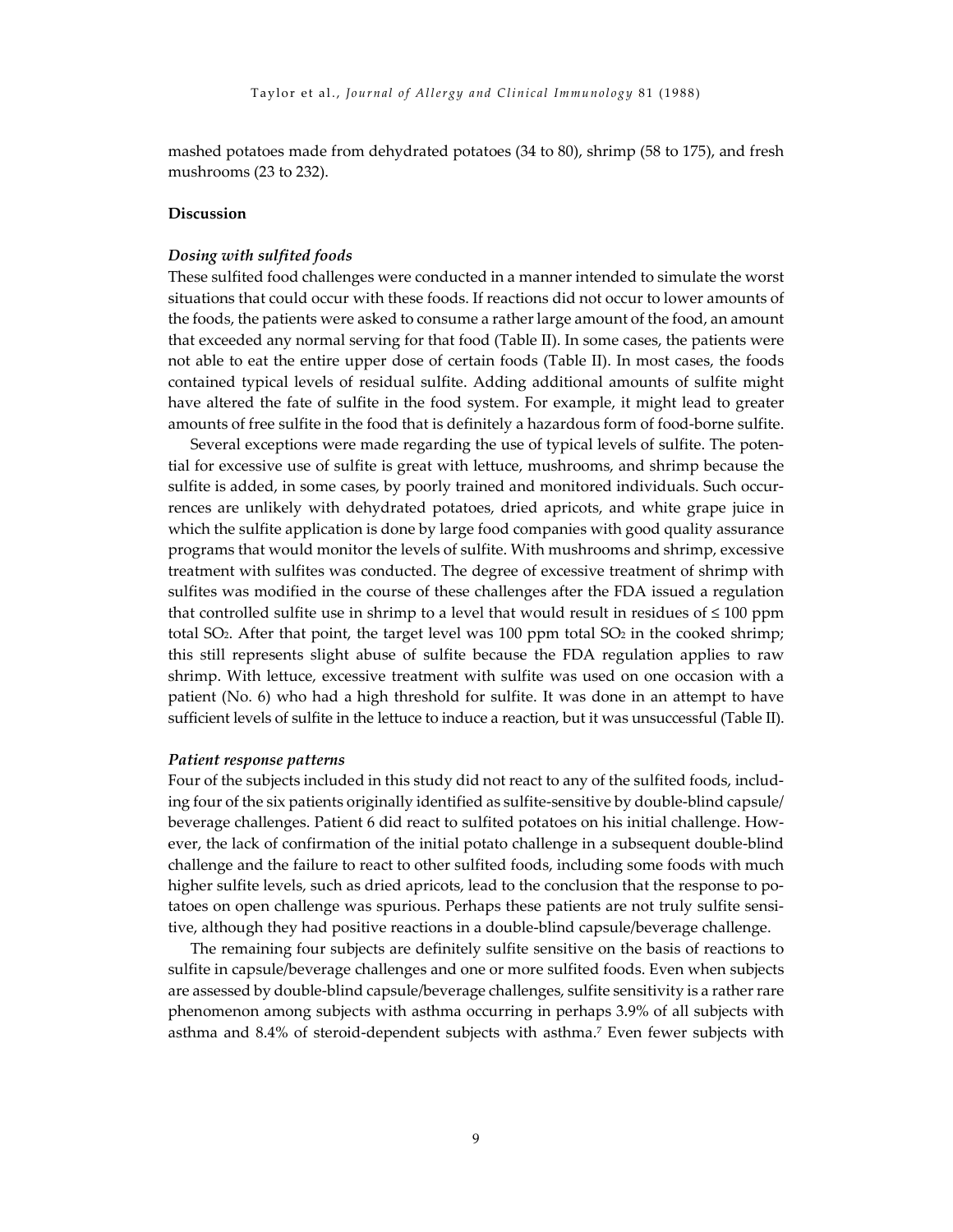mashed potatoes made from dehydrated potatoes (34 to 80), shrimp (58 to 175), and fresh mushrooms (23 to 232).

#### **Discussion**

#### *Dosing with sulfited foods*

These sulfited food challenges were conducted in a manner intended to simulate the worst situations that could occur with these foods. If reactions did not occur to lower amounts of the foods, the patients were asked to consume a rather large amount of the food, an amount that exceeded any normal serving for that food (Table II). In some cases, the patients were not able to eat the entire upper dose of certain foods (Table II). In most cases, the foods contained typical levels of residual sulfite. Adding additional amounts of sulfite might have altered the fate of sulfite in the food system. For example, it might lead to greater amounts of free sulfite in the food that is definitely a hazardous form of food-borne sulfite.

Several exceptions were made regarding the use of typical levels of sulfite. The potential for excessive use of sulfite is great with lettuce, mushrooms, and shrimp because the sulfite is added, in some cases, by poorly trained and monitored individuals. Such occurrences are unlikely with dehydrated potatoes, dried apricots, and white grape juice in which the sulfite application is done by large food companies with good quality assurance programs that would monitor the levels of sulfite. With mushrooms and shrimp, excessive treatment with sulfites was conducted. The degree of excessive treatment of shrimp with sulfites was modified in the course of these challenges after the FDA issued a regulation that controlled sulfite use in shrimp to a level that would result in residues of  $\leq 100$  ppm total SO<sub>2</sub>. After that point, the target level was 100 ppm total SO<sub>2</sub> in the cooked shrimp; this still represents slight abuse of sulfite because the FDA regulation applies to raw shrimp. With lettuce, excessive treatment with sulfite was used on one occasion with a patient (No. 6) who had a high threshold for sulfite. It was done in an attempt to have sufficient levels of sulfite in the lettuce to induce a reaction, but it was unsuccessful (Table II).

#### *Patient response patterns*

Four of the subjects included in this study did not react to any of the sulfited foods, including four of the six patients originally identified as sulfite-sensitive by double-blind capsule/ beverage challenges. Patient 6 did react to sulfited potatoes on his initial challenge. However, the lack of confirmation of the initial potato challenge in a subsequent double-blind challenge and the failure to react to other sulfited foods, including some foods with much higher sulfite levels, such as dried apricots, lead to the conclusion that the response to potatoes on open challenge was spurious. Perhaps these patients are not truly sulfite sensitive, although they had positive reactions in a double-blind capsule/beverage challenge.

The remaining four subjects are definitely sulfite sensitive on the basis of reactions to sulfite in capsule/beverage challenges and one or more sulfited foods. Even when subjects are assessed by double-blind capsule/beverage challenges, sulfite sensitivity is a rather rare phenomenon among subjects with asthma occurring in perhaps 3.9% of all subjects with asthma and 8.4% of steroid-dependent subjects with asthma.7 Even fewer subjects with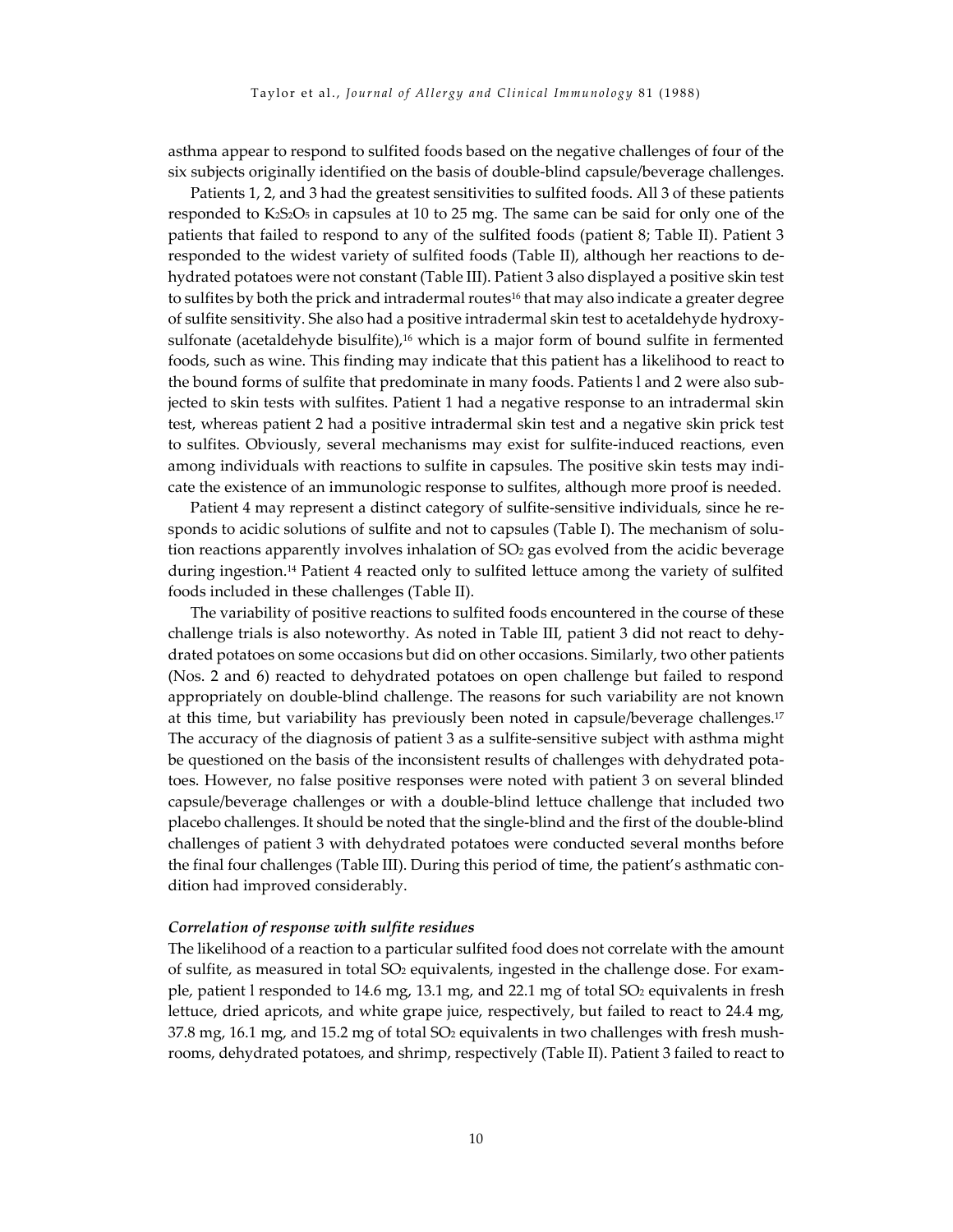asthma appear to respond to sulfited foods based on the negative challenges of four of the six subjects originally identified on the basis of double-blind capsule/beverage challenges.

Patients 1, 2, and 3 had the greatest sensitivities to sulfited foods. All 3 of these patients responded to K2S2O5 in capsules at 10 to 25 mg. The same can be said for only one of the patients that failed to respond to any of the sulfited foods (patient 8; Table II). Patient 3 responded to the widest variety of sulfited foods (Table II), although her reactions to dehydrated potatoes were not constant (Table III). Patient 3 also displayed a positive skin test to sulfites by both the prick and intradermal routes<sup>16</sup> that may also indicate a greater degree of sulfite sensitivity. She also had a positive intradermal skin test to acetaldehyde hydroxysulfonate (acetaldehyde bisulfite), $16$  which is a major form of bound sulfite in fermented foods, such as wine. This finding may indicate that this patient has a likelihood to react to the bound forms of sulfite that predominate in many foods. Patients l and 2 were also subjected to skin tests with sulfites. Patient 1 had a negative response to an intradermal skin test, whereas patient 2 had a positive intradermal skin test and a negative skin prick test to sulfites. Obviously, several mechanisms may exist for sulfite-induced reactions, even among individuals with reactions to sulfite in capsules. The positive skin tests may indicate the existence of an immunologic response to sulfites, although more proof is needed.

Patient 4 may represent a distinct category of sulfite-sensitive individuals, since he responds to acidic solutions of sulfite and not to capsules (Table I). The mechanism of solution reactions apparently involves inhalation of SO<sub>2</sub> gas evolved from the acidic beverage during ingestion.14 Patient 4 reacted only to sulfited lettuce among the variety of sulfited foods included in these challenges (Table II).

The variability of positive reactions to sulfited foods encountered in the course of these challenge trials is also noteworthy. As noted in Table III, patient 3 did not react to dehydrated potatoes on some occasions but did on other occasions. Similarly, two other patients (Nos. 2 and 6) reacted to dehydrated potatoes on open challenge but failed to respond appropriately on double-blind challenge. The reasons for such variability are not known at this time, but variability has previously been noted in capsule/beverage challenges.17 The accuracy of the diagnosis of patient 3 as a sulfite-sensitive subject with asthma might be questioned on the basis of the inconsistent results of challenges with dehydrated potatoes. However, no false positive responses were noted with patient 3 on several blinded capsule/beverage challenges or with a double-blind lettuce challenge that included two placebo challenges. It should be noted that the single-blind and the first of the double-blind challenges of patient 3 with dehydrated potatoes were conducted several months before the final four challenges (Table III). During this period of time, the patient's asthmatic condition had improved considerably.

#### *Correlation of response with sulfite residues*

The likelihood of a reaction to a particular sulfited food does not correlate with the amount of sulfite, as measured in total SO2 equivalents, ingested in the challenge dose. For example, patient l responded to 14.6 mg, 13.1 mg, and 22.1 mg of total SO2 equivalents in fresh lettuce, dried apricots, and white grape juice, respectively, but failed to react to 24.4 mg,  $37.8$  mg, 16.1 mg, and 15.2 mg of total  $SO<sub>2</sub>$  equivalents in two challenges with fresh mushrooms, dehydrated potatoes, and shrimp, respectively (Table II). Patient 3 failed to react to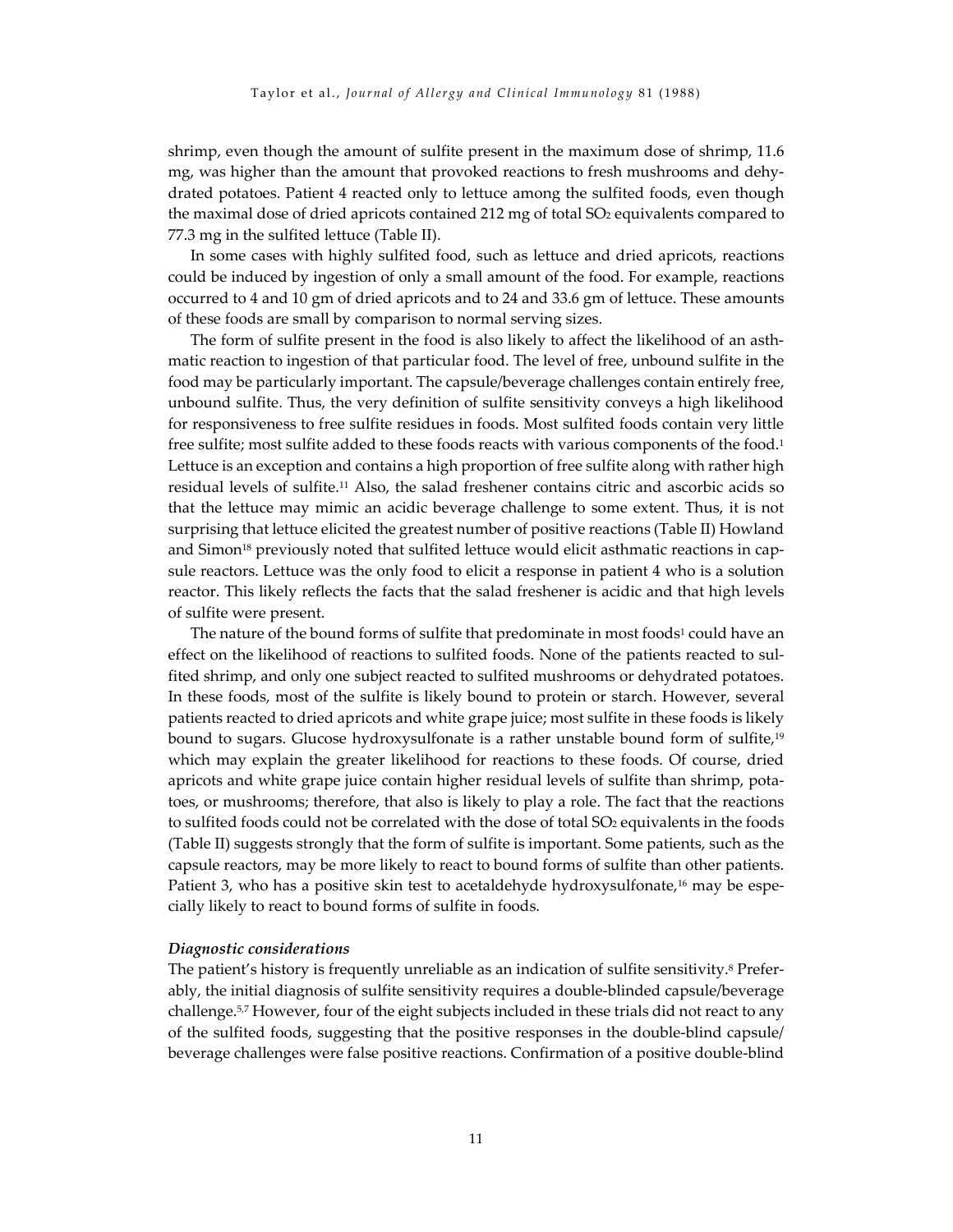shrimp, even though the amount of sulfite present in the maximum dose of shrimp, 11.6 mg, was higher than the amount that provoked reactions to fresh mushrooms and dehydrated potatoes. Patient 4 reacted only to lettuce among the sulfited foods, even though the maximal dose of dried apricots contained 212 mg of total SO<sub>2</sub> equivalents compared to 77.3 mg in the sulfited lettuce (Table II).

In some cases with highly sulfited food, such as lettuce and dried apricots, reactions could be induced by ingestion of only a small amount of the food. For example, reactions occurred to 4 and 10 gm of dried apricots and to 24 and 33.6 gm of lettuce. These amounts of these foods are small by comparison to normal serving sizes.

The form of sulfite present in the food is also likely to affect the likelihood of an asthmatic reaction to ingestion of that particular food. The level of free, unbound sulfite in the food may be particularly important. The capsule/beverage challenges contain entirely free, unbound sulfite. Thus, the very definition of sulfite sensitivity conveys a high likelihood for responsiveness to free sulfite residues in foods. Most sulfited foods contain very little free sulfite; most sulfite added to these foods reacts with various components of the food.<sup>1</sup> Lettuce is an exception and contains a high proportion of free sulfite along with rather high residual levels of sulfite.11 Also, the salad freshener contains citric and ascorbic acids so that the lettuce may mimic an acidic beverage challenge to some extent. Thus, it is not surprising that lettuce elicited the greatest number of positive reactions (Table II) Howland and Simon<sup>18</sup> previously noted that sulfited lettuce would elicit asthmatic reactions in capsule reactors. Lettuce was the only food to elicit a response in patient 4 who is a solution reactor. This likely reflects the facts that the salad freshener is acidic and that high levels of sulfite were present.

The nature of the bound forms of sulfite that predominate in most foods<sup>1</sup> could have an effect on the likelihood of reactions to sulfited foods. None of the patients reacted to sulfited shrimp, and only one subject reacted to sulfited mushrooms or dehydrated potatoes. In these foods, most of the sulfite is likely bound to protein or starch. However, several patients reacted to dried apricots and white grape juice; most sulfite in these foods is likely bound to sugars. Glucose hydroxysulfonate is a rather unstable bound form of sulfite,<sup>19</sup> which may explain the greater likelihood for reactions to these foods. Of course, dried apricots and white grape juice contain higher residual levels of sulfite than shrimp, potatoes, or mushrooms; therefore, that also is likely to play a role. The fact that the reactions to sulfited foods could not be correlated with the dose of total SO2 equivalents in the foods (Table II) suggests strongly that the form of sulfite is important. Some patients, such as the capsule reactors, may be more likely to react to bound forms of sulfite than other patients. Patient 3, who has a positive skin test to acetaldehyde hydroxysulfonate,<sup>16</sup> may be especially likely to react to bound forms of sulfite in foods.

#### *Diagnostic considerations*

The patient's history is frequently unreliable as an indication of sulfite sensitivity.<sup>8</sup> Preferably, the initial diagnosis of sulfite sensitivity requires a double-blinded capsule/beverage challenge.5,7 However, four of the eight subjects included in these trials did not react to any of the sulfited foods, suggesting that the positive responses in the double-blind capsule/ beverage challenges were false positive reactions. Confirmation of a positive double-blind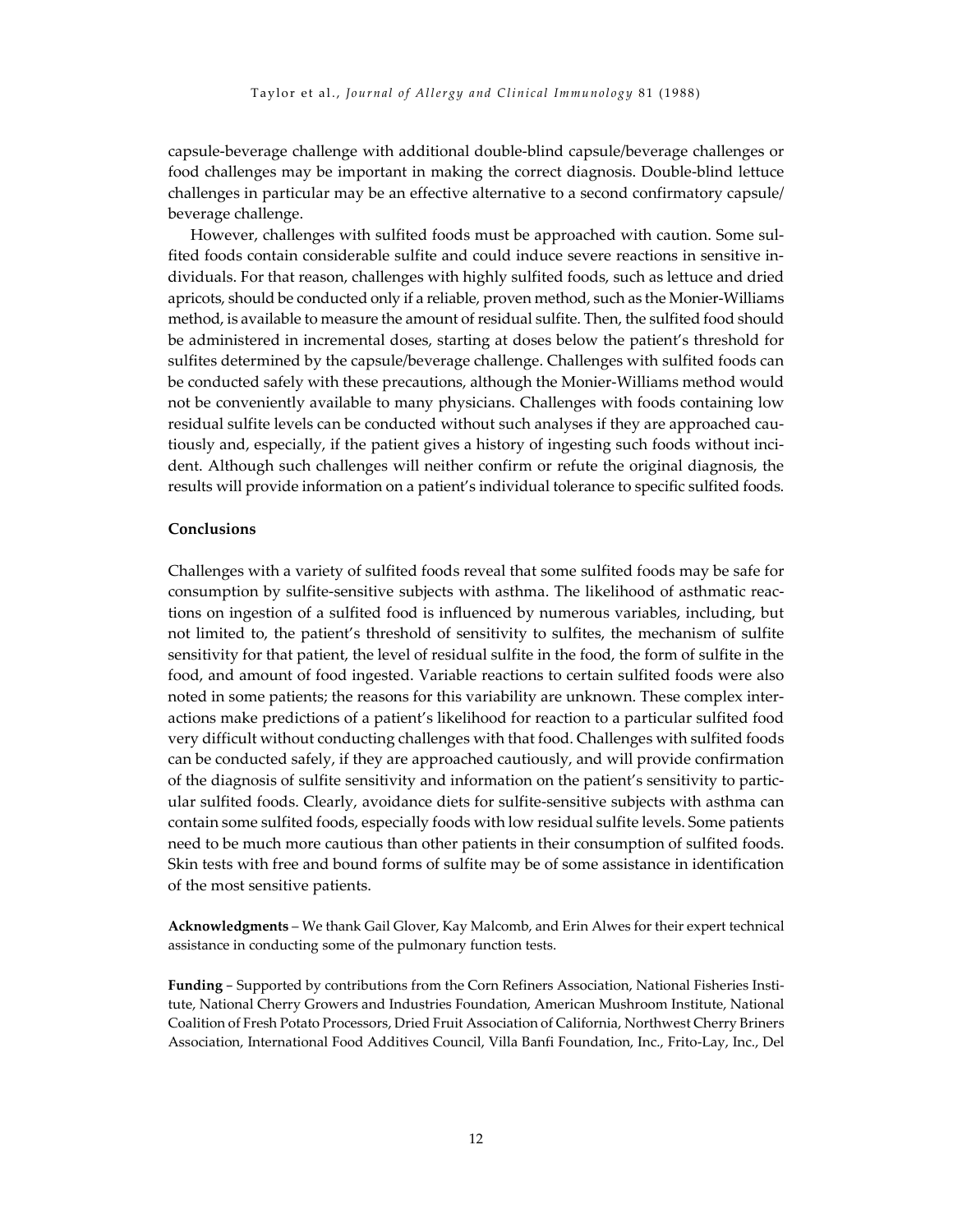capsule-beverage challenge with additional double-blind capsule/beverage challenges or food challenges may be important in making the correct diagnosis. Double-blind lettuce challenges in particular may be an effective alternative to a second confirmatory capsule/ beverage challenge.

However, challenges with sulfited foods must be approached with caution. Some sulfited foods contain considerable sulfite and could induce severe reactions in sensitive individuals. For that reason, challenges with highly sulfited foods, such as lettuce and dried apricots, should be conducted only if a reliable, proven method, such as the Monier-Williams method, is available to measure the amount of residual sulfite. Then, the sulfited food should be administered in incremental doses, starting at doses below the patient's threshold for sulfites determined by the capsule/beverage challenge. Challenges with sulfited foods can be conducted safely with these precautions, although the Monier-Williams method would not be conveniently available to many physicians. Challenges with foods containing low residual sulfite levels can be conducted without such analyses if they are approached cautiously and, especially, if the patient gives a history of ingesting such foods without incident. Although such challenges will neither confirm or refute the original diagnosis, the results will provide information on a patient's individual tolerance to specific sulfited foods.

#### **Conclusions**

Challenges with a variety of sulfited foods reveal that some sulfited foods may be safe for consumption by sulfite-sensitive subjects with asthma. The likelihood of asthmatic reactions on ingestion of a sulfited food is influenced by numerous variables, including, but not limited to, the patient's threshold of sensitivity to sulfites, the mechanism of sulfite sensitivity for that patient, the level of residual sulfite in the food, the form of sulfite in the food, and amount of food ingested. Variable reactions to certain sulfited foods were also noted in some patients; the reasons for this variability are unknown. These complex interactions make predictions of a patient's likelihood for reaction to a particular sulfited food very difficult without conducting challenges with that food. Challenges with sulfited foods can be conducted safely, if they are approached cautiously, and will provide confirmation of the diagnosis of sulfite sensitivity and information on the patient's sensitivity to particular sulfited foods. Clearly, avoidance diets for sulfite-sensitive subjects with asthma can contain some sulfited foods, especially foods with low residual sulfite levels. Some patients need to be much more cautious than other patients in their consumption of sulfited foods. Skin tests with free and bound forms of sulfite may be of some assistance in identification of the most sensitive patients.

**Acknowledgments** – We thank Gail Glover, Kay Malcomb, and Erin Alwes for their expert technical assistance in conducting some of the pulmonary function tests.

**Funding** – Supported by contributions from the Corn Refiners Association, National Fisheries Institute, National Cherry Growers and Industries Foundation, American Mushroom Institute, National Coalition of Fresh Potato Processors, Dried Fruit Association of California, Northwest Cherry Briners Association, International Food Additives Council, Villa Banfi Foundation, Inc., Frito-Lay, Inc., Del